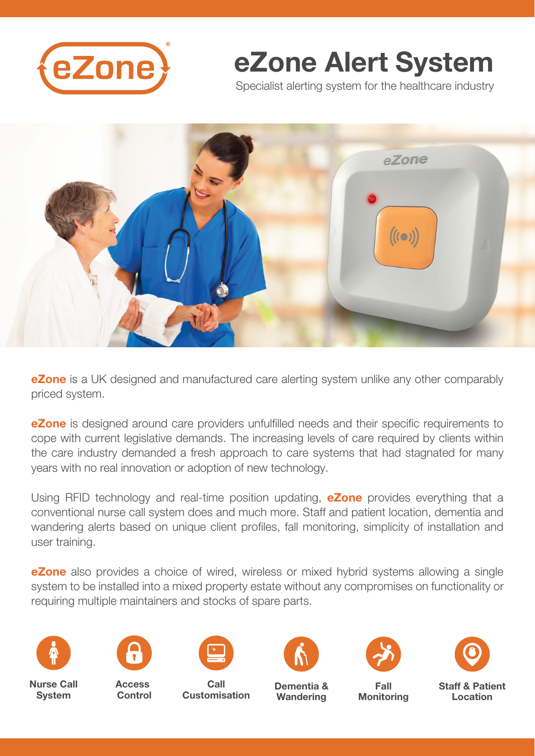

# eZone Alert System

Specialist alerting system for the healthcare industry



**eZone** is a UK designed and manufactured care alerting system unlike any other comparably priced system.

eZone is designed around care providers unfulfilled needs and their specific requirements to cope with current legislative demands. The increasing levels of care required by clients within the care industry demanded a fresh approach to care systems that had stagnated for many years with no real innovation or adoption of new technology.

Using RFID technology and real-time position updating, **eZone** provides everything that a conventional nurse call system does and much more. Staff and patient location, dementia and wandering alerts based on unique client profiles, fall monitoring, simplicity of installation and user training.

**eZone** also provides a choice of wired, wireless or mixed hybrid systems allowing a single system to be installed into a mixed property estate without any compromises on functionality or requiring multiple maintainers and stocks of spare parts.



Nurse Call **System** 



**Access** Control



Call Customisation



Dementia & **Wandering** 





Fall

**Monitoring** 

Staff & Patient Location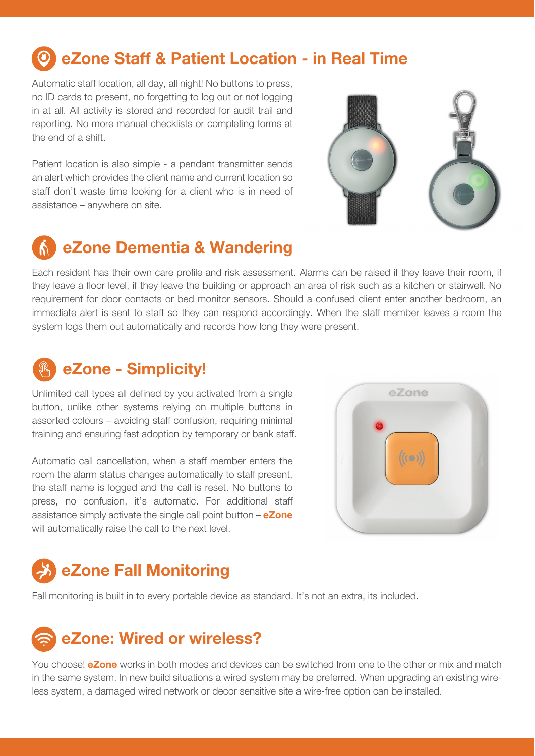### eZone Staff & Patient Location - in Real Time

Automatic staff location, all day, all night! No buttons to press, no ID cards to present, no forgetting to log out or not logging in at all. All activity is stored and recorded for audit trail and reporting. No more manual checklists or completing forms at the end of a shift.

Patient location is also simple - a pendant transmitter sends an alert which provides the client name and current location so staff don't waste time looking for a client who is in need of assistance – anywhere on site.



### eZone Dementia & Wandering

Each resident has their own care profile and risk assessment. Alarms can be raised if they leave their room, if they leave a floor level, if they leave the building or approach an area of risk such as a kitchen or stairwell. No requirement for door contacts or bed monitor sensors. Should a confused client enter another bedroom, an immediate alert is sent to staff so they can respond accordingly. When the staff member leaves a room the system logs them out automatically and records how long they were present.

### eZone - Simplicity!

Unlimited call types all defined by you activated from a single button, unlike other systems relying on multiple buttons in assorted colours – avoiding staff confusion, requiring minimal training and ensuring fast adoption by temporary or bank staff.

Automatic call cancellation, when a staff member enters the room the alarm status changes automatically to staff present, the staff name is logged and the call is reset. No buttons to press, no confusion, it's automatic. For additional staff assistance simply activate the single call point button  $-$  eZone will automatically raise the call to the next level.



## eZone Fall Monitoring

Fall monitoring is built in to every portable device as standard. It's not an extra, its included.

## eZone: Wired or wireless?

You choose! **eZone** works in both modes and devices can be switched from one to the other or mix and match in the same system. In new build situations a wired system may be preferred. When upgrading an existing wireless system, a damaged wired network or decor sensitive site a wire-free option can be installed.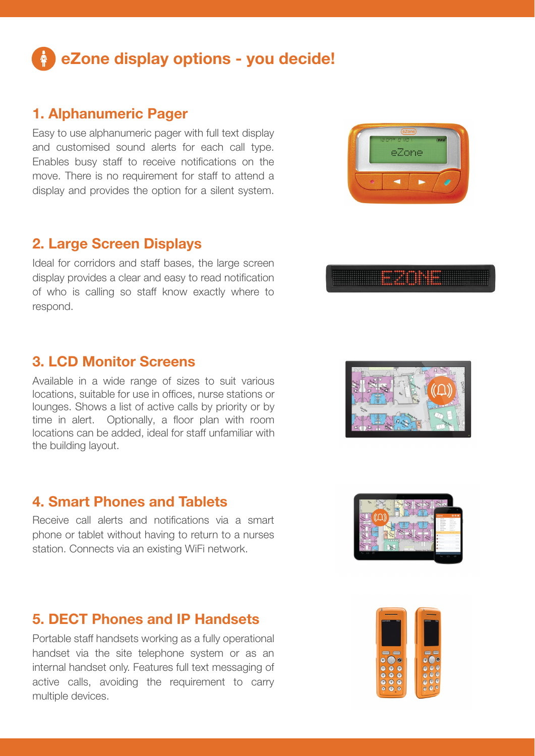## eZone display options - you decide!

### 1. Alphanumeric Pager

Easy to use alphanumeric pager with full text display and customised sound alerts for each call type. Enables busy staff to receive notifications on the move. There is no requirement for staff to attend a display and provides the option for a silent system.

### 2. Large Screen Displays

Ideal for corridors and staff bases, the large screen display provides a clear and easy to read notification of who is calling so staff know exactly where to respond.

### 3. LCD Monitor Screens

Available in a wide range of sizes to suit various locations, suitable for use in offices, nurse stations or lounges. Shows a list of active calls by priority or by time in alert. Optionally, a floor plan with room locations can be added, ideal for staff unfamiliar with the building layout.

### 4. Smart Phones and Tablets

Receive call alerts and notifications via a smart phone or tablet without having to return to a nurses station. Connects via an existing WiFi network.

### 5. DECT Phones and IP Handsets

Portable staff handsets working as a fully operational handset via the site telephone system or as an internal handset only. Features full text messaging of active calls, avoiding the requirement to carry multiple devices.









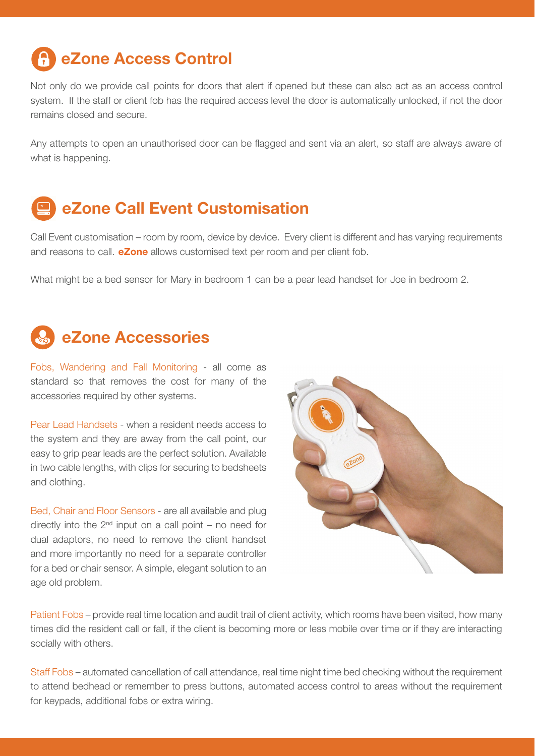## eZone Access Control

Not only do we provide call points for doors that alert if opened but these can also act as an access control system. If the staff or client fob has the required access level the door is automatically unlocked, if not the door remains closed and secure.

Any attempts to open an unauthorised door can be flagged and sent via an alert, so staff are always aware of what is happening.

## eZone Call Event Customisation

Call Event customisation – room by room, device by device. Every client is different and has varying requirements and reasons to call. **eZone** allows customised text per room and per client fob.

What might be a bed sensor for Mary in bedroom 1 can be a pear lead handset for Joe in bedroom 2.

### eZone Accessories

Fobs, Wandering and Fall Monitoring - all come as standard so that removes the cost for many of the accessories required by other systems.

Pear Lead Handsets - when a resident needs access to the system and they are away from the call point, our easy to grip pear leads are the perfect solution. Available in two cable lengths, with clips for securing to bedsheets and clothing.

Bed, Chair and Floor Sensors - are all available and plug directly into the  $2<sup>nd</sup>$  input on a call point – no need for dual adaptors, no need to remove the client handset and more importantly no need for a separate controller for a bed or chair sensor. A simple, elegant solution to an age old problem.



Patient Fobs – provide real time location and audit trail of client activity, which rooms have been visited, how many times did the resident call or fall, if the client is becoming more or less mobile over time or if they are interacting socially with others.

Staff Fobs – automated cancellation of call attendance, real time night time bed checking without the requirement to attend bedhead or remember to press buttons, automated access control to areas without the requirement for keypads, additional fobs or extra wiring.